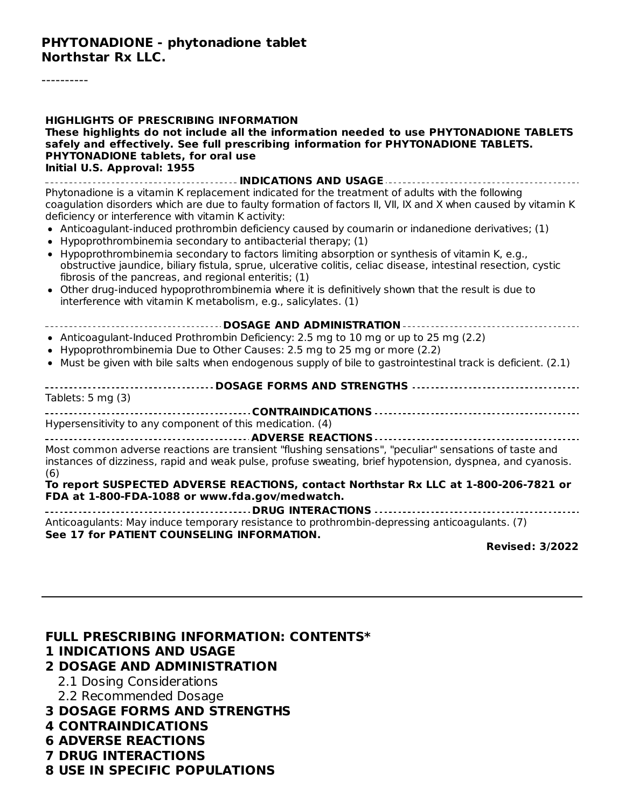#### **PHYTONADIONE - phytonadione tablet Northstar Rx LLC.**

----------

| <b>HIGHLIGHTS OF PRESCRIBING INFORMATION</b><br>These highlights do not include all the information needed to use PHYTONADIONE TABLETS<br>safely and effectively. See full prescribing information for PHYTONADIONE TABLETS.<br><b>PHYTONADIONE tablets, for oral use</b><br>Initial U.S. Approval: 1955                                                                                                                                                                                                                                                                                                                                                                                                                                                                                                                                                                                          |
|---------------------------------------------------------------------------------------------------------------------------------------------------------------------------------------------------------------------------------------------------------------------------------------------------------------------------------------------------------------------------------------------------------------------------------------------------------------------------------------------------------------------------------------------------------------------------------------------------------------------------------------------------------------------------------------------------------------------------------------------------------------------------------------------------------------------------------------------------------------------------------------------------|
| Phytonadione is a vitamin K replacement indicated for the treatment of adults with the following<br>coagulation disorders which are due to faulty formation of factors II, VII, IX and X when caused by vitamin K<br>deficiency or interference with vitamin K activity:<br>• Anticoagulant-induced prothrombin deficiency caused by coumarin or indanedione derivatives; (1)<br>Hypoprothrombinemia secondary to antibacterial therapy; (1)<br>• Hypoprothrombinemia secondary to factors limiting absorption or synthesis of vitamin K, e.g.,<br>obstructive jaundice, biliary fistula, sprue, ulcerative colitis, celiac disease, intestinal resection, cystic<br>fibrosis of the pancreas, and regional enteritis; (1)<br>• Other drug-induced hypoprothrombinemia where it is definitively shown that the result is due to<br>interference with vitamin K metabolism, e.g., salicylates. (1) |
| • Anticoagulant-Induced Prothrombin Deficiency: 2.5 mg to 10 mg or up to 25 mg (2.2)<br>• Hypoprothrombinemia Due to Other Causes: 2.5 mg to 25 mg or more (2.2)<br>• Must be given with bile salts when endogenous supply of bile to gastrointestinal track is deficient. (2.1)                                                                                                                                                                                                                                                                                                                                                                                                                                                                                                                                                                                                                  |
| ------------------- DOSAGE FORMS AND STRENGTHS ---------------------------------<br>Tablets: $5 \text{ mg} (3)$                                                                                                                                                                                                                                                                                                                                                                                                                                                                                                                                                                                                                                                                                                                                                                                   |
| Hypersensitivity to any component of this medication. (4)                                                                                                                                                                                                                                                                                                                                                                                                                                                                                                                                                                                                                                                                                                                                                                                                                                         |
| Most common adverse reactions are transient "flushing sensations", "peculiar" sensations of taste and<br>instances of dizziness, rapid and weak pulse, profuse sweating, brief hypotension, dyspnea, and cyanosis.<br>(6)<br>To report SUSPECTED ADVERSE REACTIONS, contact Northstar Rx LLC at 1-800-206-7821 or<br>FDA at 1-800-FDA-1088 or www.fda.gov/medwatch.                                                                                                                                                                                                                                                                                                                                                                                                                                                                                                                               |
| Anticoagulants: May induce temporary resistance to prothrombin-depressing anticoagulants. (7)<br>See 17 for PATIENT COUNSELING INFORMATION.<br><b>Revised: 3/2022</b>                                                                                                                                                                                                                                                                                                                                                                                                                                                                                                                                                                                                                                                                                                                             |
|                                                                                                                                                                                                                                                                                                                                                                                                                                                                                                                                                                                                                                                                                                                                                                                                                                                                                                   |

**FULL PRESCRIBING INFORMATION: CONTENTS\* 1 INDICATIONS AND USAGE 2 DOSAGE AND ADMINISTRATION** 2.1 Dosing Considerations 2.2 Recommended Dosage

- **3 DOSAGE FORMS AND STRENGTHS**
- **4 CONTRAINDICATIONS**
- **6 ADVERSE REACTIONS**
- **7 DRUG INTERACTIONS**
- **8 USE IN SPECIFIC POPULATIONS**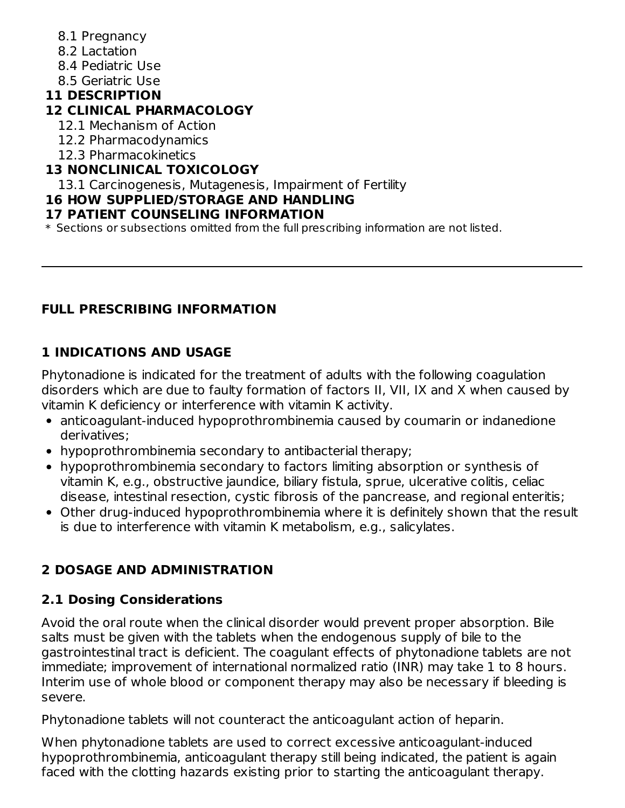- 8.1 Pregnancy
- 8.2 Lactation
- 8.4 Pediatric Use
- 8.5 Geriatric Use

## **11 DESCRIPTION**

### **12 CLINICAL PHARMACOLOGY**

- 12.1 Mechanism of Action
- 12.2 Pharmacodynamics
- 12.3 Pharmacokinetics

## **13 NONCLINICAL TOXICOLOGY**

13.1 Carcinogenesis, Mutagenesis, Impairment of Fertility

### **16 HOW SUPPLIED/STORAGE AND HANDLING**

### **17 PATIENT COUNSELING INFORMATION**

\* Sections or subsections omitted from the full prescribing information are not listed.

## **FULL PRESCRIBING INFORMATION**

## **1 INDICATIONS AND USAGE**

Phytonadione is indicated for the treatment of adults with the following coagulation disorders which are due to faulty formation of factors II, VII, IX and X when caused by vitamin K deficiency or interference with vitamin K activity.

- anticoagulant-induced hypoprothrombinemia caused by coumarin or indanedione derivatives;
- hypoprothrombinemia secondary to antibacterial therapy;
- hypoprothrombinemia secondary to factors limiting absorption or synthesis of vitamin K, e.g., obstructive jaundice, biliary fistula, sprue, ulcerative colitis, celiac disease, intestinal resection, cystic fibrosis of the pancrease, and regional enteritis;
- Other drug-induced hypoprothrombinemia where it is definitely shown that the result is due to interference with vitamin K metabolism, e.g., salicylates.

# **2 DOSAGE AND ADMINISTRATION**

## **2.1 Dosing Considerations**

Avoid the oral route when the clinical disorder would prevent proper absorption. Bile salts must be given with the tablets when the endogenous supply of bile to the gastrointestinal tract is deficient. The coagulant effects of phytonadione tablets are not immediate; improvement of international normalized ratio (INR) may take 1 to 8 hours. Interim use of whole blood or component therapy may also be necessary if bleeding is severe.

Phytonadione tablets will not counteract the anticoagulant action of heparin.

When phytonadione tablets are used to correct excessive anticoagulant-induced hypoprothrombinemia, anticoagulant therapy still being indicated, the patient is again faced with the clotting hazards existing prior to starting the anticoagulant therapy.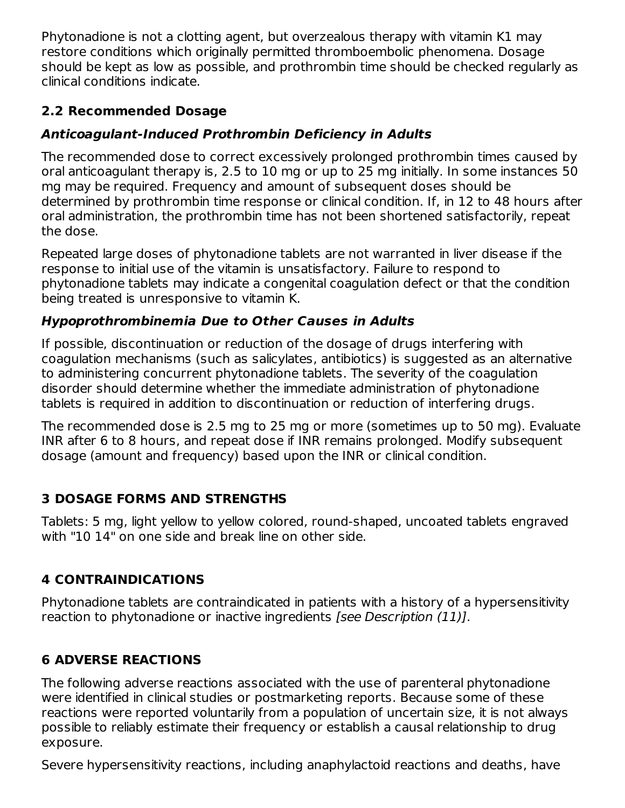Phytonadione is not a clotting agent, but overzealous therapy with vitamin K1 may restore conditions which originally permitted thromboembolic phenomena. Dosage should be kept as low as possible, and prothrombin time should be checked regularly as clinical conditions indicate.

## **2.2 Recommended Dosage**

## **Anticoagulant-Induced Prothrombin Deficiency in Adults**

The recommended dose to correct excessively prolonged prothrombin times caused by oral anticoagulant therapy is, 2.5 to 10 mg or up to 25 mg initially. In some instances 50 mg may be required. Frequency and amount of subsequent doses should be determined by prothrombin time response or clinical condition. If, in 12 to 48 hours after oral administration, the prothrombin time has not been shortened satisfactorily, repeat the dose.

Repeated large doses of phytonadione tablets are not warranted in liver disease if the response to initial use of the vitamin is unsatisfactory. Failure to respond to phytonadione tablets may indicate a congenital coagulation defect or that the condition being treated is unresponsive to vitamin K.

## **Hypoprothrombinemia Due to Other Causes in Adults**

If possible, discontinuation or reduction of the dosage of drugs interfering with coagulation mechanisms (such as salicylates, antibiotics) is suggested as an alternative to administering concurrent phytonadione tablets. The severity of the coagulation disorder should determine whether the immediate administration of phytonadione tablets is required in addition to discontinuation or reduction of interfering drugs.

The recommended dose is 2.5 mg to 25 mg or more (sometimes up to 50 mg). Evaluate INR after 6 to 8 hours, and repeat dose if INR remains prolonged. Modify subsequent dosage (amount and frequency) based upon the INR or clinical condition.

## **3 DOSAGE FORMS AND STRENGTHS**

Tablets: 5 mg, light yellow to yellow colored, round-shaped, uncoated tablets engraved with "10 14" on one side and break line on other side.

# **4 CONTRAINDICATIONS**

Phytonadione tablets are contraindicated in patients with a history of a hypersensitivity reaction to phytonadione or inactive ingredients [see Description (11)].

# **6 ADVERSE REACTIONS**

The following adverse reactions associated with the use of parenteral phytonadione were identified in clinical studies or postmarketing reports. Because some of these reactions were reported voluntarily from a population of uncertain size, it is not always possible to reliably estimate their frequency or establish a causal relationship to drug exposure.

Severe hypersensitivity reactions, including anaphylactoid reactions and deaths, have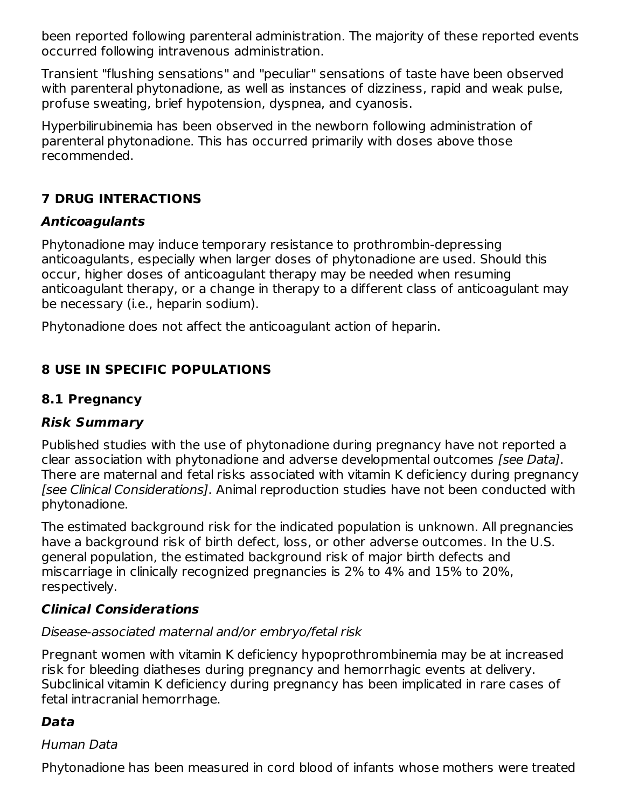been reported following parenteral administration. The majority of these reported events occurred following intravenous administration.

Transient "flushing sensations" and "peculiar" sensations of taste have been observed with parenteral phytonadione, as well as instances of dizziness, rapid and weak pulse, profuse sweating, brief hypotension, dyspnea, and cyanosis.

Hyperbilirubinemia has been observed in the newborn following administration of parenteral phytonadione. This has occurred primarily with doses above those recommended.

## **7 DRUG INTERACTIONS**

### **Anticoagulants**

Phytonadione may induce temporary resistance to prothrombin-depressing anticoagulants, especially when larger doses of phytonadione are used. Should this occur, higher doses of anticoagulant therapy may be needed when resuming anticoagulant therapy, or a change in therapy to a different class of anticoagulant may be necessary (i.e., heparin sodium).

Phytonadione does not affect the anticoagulant action of heparin.

## **8 USE IN SPECIFIC POPULATIONS**

## **8.1 Pregnancy**

### **Risk Summary**

Published studies with the use of phytonadione during pregnancy have not reported a clear association with phytonadione and adverse developmental outcomes [see Data]. There are maternal and fetal risks associated with vitamin K deficiency during pregnancy [see Clinical Considerations]. Animal reproduction studies have not been conducted with phytonadione.

The estimated background risk for the indicated population is unknown. All pregnancies have a background risk of birth defect, loss, or other adverse outcomes. In the U.S. general population, the estimated background risk of major birth defects and miscarriage in clinically recognized pregnancies is 2% to 4% and 15% to 20%, respectively.

### **Clinical Considerations**

### Disease-associated maternal and/or embryo/fetal risk

Pregnant women with vitamin K deficiency hypoprothrombinemia may be at increased risk for bleeding diatheses during pregnancy and hemorrhagic events at delivery. Subclinical vitamin K deficiency during pregnancy has been implicated in rare cases of fetal intracranial hemorrhage.

## **Data**

### Human Data

Phytonadione has been measured in cord blood of infants whose mothers were treated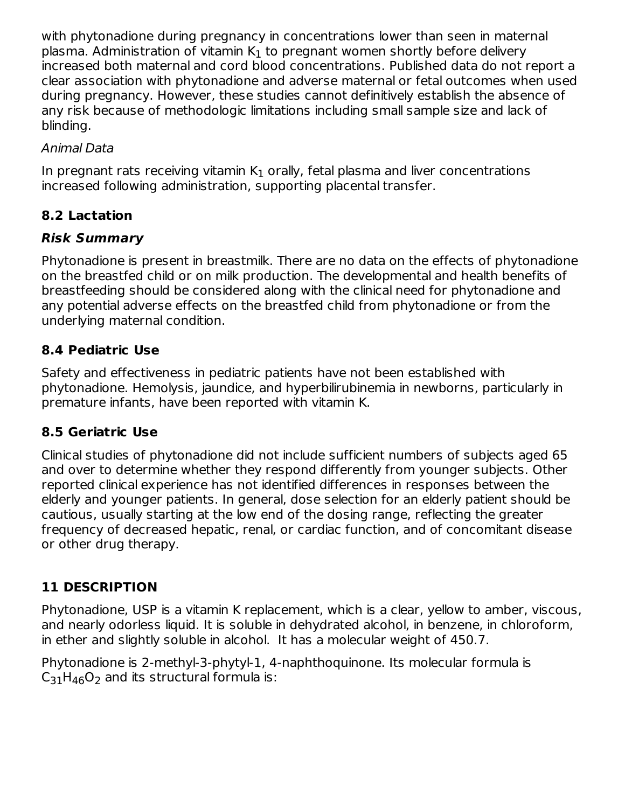with phytonadione during pregnancy in concentrations lower than seen in maternal plasma. Administration of vitamin  $\mathsf{K}_1$  to pregnant women shortly before delivery increased both maternal and cord blood concentrations. Published data do not report a clear association with phytonadione and adverse maternal or fetal outcomes when used during pregnancy. However, these studies cannot definitively establish the absence of any risk because of methodologic limitations including small sample size and lack of blinding.

### Animal Data

In pregnant rats receiving vitamin  $\mathsf{K}_1$  orally, fetal plasma and liver concentrations increased following administration, supporting placental transfer.

# **8.2 Lactation**

## **Risk Summary**

Phytonadione is present in breastmilk. There are no data on the effects of phytonadione on the breastfed child or on milk production. The developmental and health benefits of breastfeeding should be considered along with the clinical need for phytonadione and any potential adverse effects on the breastfed child from phytonadione or from the underlying maternal condition.

## **8.4 Pediatric Use**

Safety and effectiveness in pediatric patients have not been established with phytonadione. Hemolysis, jaundice, and hyperbilirubinemia in newborns, particularly in premature infants, have been reported with vitamin K.

## **8.5 Geriatric Use**

Clinical studies of phytonadione did not include sufficient numbers of subjects aged 65 and over to determine whether they respond differently from younger subjects. Other reported clinical experience has not identified differences in responses between the elderly and younger patients. In general, dose selection for an elderly patient should be cautious, usually starting at the low end of the dosing range, reflecting the greater frequency of decreased hepatic, renal, or cardiac function, and of concomitant disease or other drug therapy.

## **11 DESCRIPTION**

Phytonadione, USP is a vitamin K replacement, which is a clear, yellow to amber, viscous, and nearly odorless liquid. It is soluble in dehydrated alcohol, in benzene, in chloroform, in ether and slightly soluble in alcohol. It has a molecular weight of 450.7.

Phytonadione is 2-methyl-3-phytyl-1, 4-naphthoquinone. Its molecular formula is  $\mathsf{C}_{31}\mathsf{H}_{46}\mathsf{O}_2$  and its structural formula is: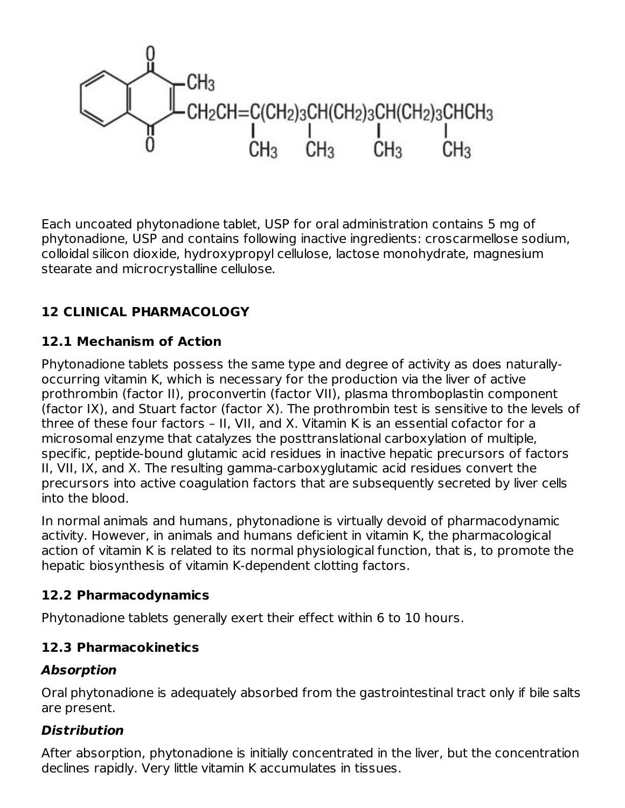

Each uncoated phytonadione tablet, USP for oral administration contains 5 mg of phytonadione, USP and contains following inactive ingredients: croscarmellose sodium, colloidal silicon dioxide, hydroxypropyl cellulose, lactose monohydrate, magnesium stearate and microcrystalline cellulose.

## **12 CLINICAL PHARMACOLOGY**

## **12.1 Mechanism of Action**

Phytonadione tablets possess the same type and degree of activity as does naturallyoccurring vitamin K, which is necessary for the production via the liver of active prothrombin (factor II), proconvertin (factor VII), plasma thromboplastin component (factor IX), and Stuart factor (factor X). The prothrombin test is sensitive to the levels of three of these four factors – II, VII, and X. Vitamin K is an essential cofactor for a microsomal enzyme that catalyzes the posttranslational carboxylation of multiple, specific, peptide-bound glutamic acid residues in inactive hepatic precursors of factors II, VII, IX, and X. The resulting gamma-carboxyglutamic acid residues convert the precursors into active coagulation factors that are subsequently secreted by liver cells into the blood.

In normal animals and humans, phytonadione is virtually devoid of pharmacodynamic activity. However, in animals and humans deficient in vitamin K, the pharmacological action of vitamin K is related to its normal physiological function, that is, to promote the hepatic biosynthesis of vitamin K-dependent clotting factors.

### **12.2 Pharmacodynamics**

Phytonadione tablets generally exert their effect within 6 to 10 hours.

## **12.3 Pharmacokinetics**

### **Absorption**

Oral phytonadione is adequately absorbed from the gastrointestinal tract only if bile salts are present.

## **Distribution**

After absorption, phytonadione is initially concentrated in the liver, but the concentration declines rapidly. Very little vitamin K accumulates in tissues.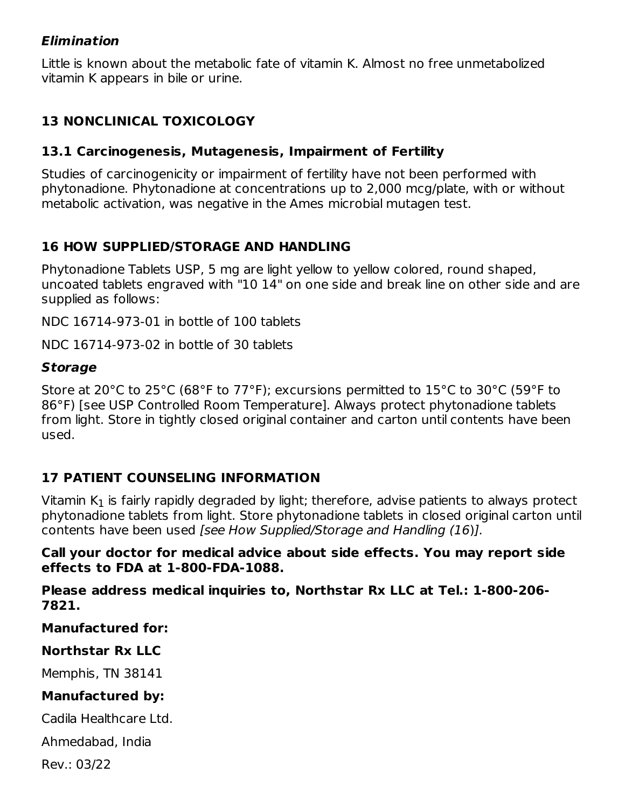#### **Elimination**

Little is known about the metabolic fate of vitamin K. Almost no free unmetabolized vitamin K appears in bile or urine.

## **13 NONCLINICAL TOXICOLOGY**

### **13.1 Carcinogenesis, Mutagenesis, Impairment of Fertility**

Studies of carcinogenicity or impairment of fertility have not been performed with phytonadione. Phytonadione at concentrations up to 2,000 mcg/plate, with or without metabolic activation, was negative in the Ames microbial mutagen test.

### **16 HOW SUPPLIED/STORAGE AND HANDLING**

Phytonadione Tablets USP, 5 mg are light yellow to yellow colored, round shaped, uncoated tablets engraved with "10 14" on one side and break line on other side and are supplied as follows:

NDC 16714-973-01 in bottle of 100 tablets

NDC 16714-973-02 in bottle of 30 tablets

### **Storage**

Store at 20°C to 25°C (68°F to 77°F); excursions permitted to 15°C to 30°C (59°F to 86°F) [see USP Controlled Room Temperature]. Always protect phytonadione tablets from light. Store in tightly closed original container and carton until contents have been used.

## **17 PATIENT COUNSELING INFORMATION**

Vitamin K $_{\rm 1}$  is fairly rapidly degraded by light; therefore, advise patients to always protect phytonadione tablets from light. Store phytonadione tablets in closed original carton until contents have been used [see How Supplied/Storage and Handling (16)].

#### **Call your doctor for medical advice about side effects. You may report side effects to FDA at 1-800-FDA-1088.**

**Please address medical inquiries to, Northstar Rx LLC at Tel.: 1-800-206- 7821.**

**Manufactured for:**

### **Northstar Rx LLC**

Memphis, TN 38141

### **Manufactured by:**

Cadila Healthcare Ltd.

Ahmedabad, India

Rev.: 03/22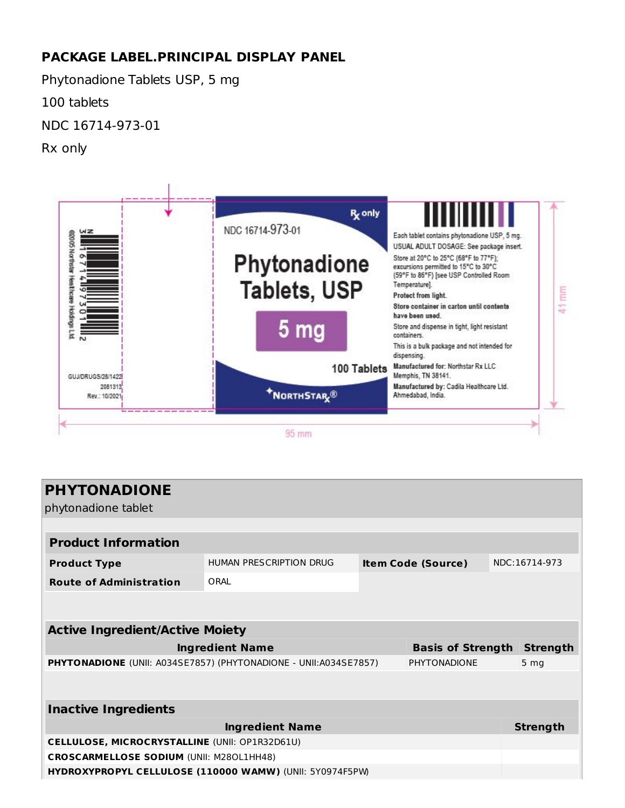## **PACKAGE LABEL.PRINCIPAL DISPLAY PANEL**

Phytonadione Tablets USP, 5 mg

100 tablets

NDC 16714-973-01

Rx only



| <b>PHYTONADIONE</b><br>phytonadione tablet                                        |                         |  |                           |               |                 |  |  |
|-----------------------------------------------------------------------------------|-------------------------|--|---------------------------|---------------|-----------------|--|--|
|                                                                                   |                         |  |                           |               |                 |  |  |
| <b>Product Information</b>                                                        |                         |  |                           |               |                 |  |  |
| <b>Product Type</b>                                                               | HUMAN PRESCRIPTION DRUG |  | <b>Item Code (Source)</b> | NDC:16714-973 |                 |  |  |
| <b>Route of Administration</b>                                                    | ORAL                    |  |                           |               |                 |  |  |
|                                                                                   |                         |  |                           |               |                 |  |  |
| <b>Active Ingredient/Active Moiety</b>                                            |                         |  |                           |               |                 |  |  |
| <b>Ingredient Name</b><br><b>Basis of Strength</b>                                |                         |  |                           |               |                 |  |  |
| PHYTONADIONE (UNII: A034SE7857) (PHYTONADIONE - UNII: A034SE7857)<br>PHYTONADIONE |                         |  |                           |               | 5 <sub>mg</sub> |  |  |
|                                                                                   |                         |  |                           |               |                 |  |  |
| <b>Inactive Ingredients</b>                                                       |                         |  |                           |               |                 |  |  |
| <b>Ingredient Name</b>                                                            |                         |  |                           |               | <b>Strength</b> |  |  |
| CELLULOSE, MICROCRYSTALLINE (UNII: OP1R32D61U)                                    |                         |  |                           |               |                 |  |  |
| <b>CROSCARMELLOSE SODIUM (UNII: M280L1HH48)</b>                                   |                         |  |                           |               |                 |  |  |
| HYDROXYPROPYL CELLULOSE (110000 WAMW) (UNII: 5Y0974F5PW)                          |                         |  |                           |               |                 |  |  |
|                                                                                   |                         |  |                           |               |                 |  |  |